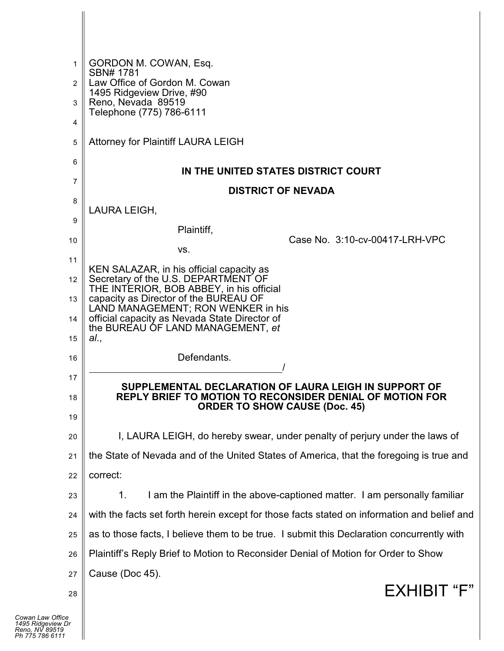| 1<br>2  | GORDON M. COWAN, Esq.<br>SBN# 1781<br>Law Office of Gordon M. Cowan                         |
|---------|---------------------------------------------------------------------------------------------|
|         | 1495 Ridgeview Drive, #90                                                                   |
| 3       | Reno, Nevada 89519<br>Telephone (775) 786-6111                                              |
| 4       |                                                                                             |
| 5       | <b>Attorney for Plaintiff LAURA LEIGH</b>                                                   |
| 6       | IN THE UNITED STATES DISTRICT COURT                                                         |
| 7       | <b>DISTRICT OF NEVADA</b>                                                                   |
| 8       |                                                                                             |
| 9       | LAURA LEIGH,                                                                                |
| 10      | Plaintiff.<br>Case No. 3:10-cv-00417-LRH-VPC                                                |
| 11      | VS.                                                                                         |
|         | KEN SALAZAR, in his official capacity as<br>Secretary of the U.S. DEPARTMENT OF             |
| 12      | THE INTERIOR, BOB ABBEY, in his official                                                    |
| 13      | capacity as Director of the BUREAU OF<br>LAND MANAGEMENT; RON WENKER in his                 |
| 14      | official capacity as Nevada State Director of<br>the BUREAU OF LAND MANAGEMENT, et          |
| 15      | al.,                                                                                        |
| 16      | Defendants.                                                                                 |
| 17      | SUPPLEMENTAL DECLARATION OF LAURA LEIGH IN SUPPORT OF                                       |
| 18      | REPLY BRIEF TO MOTION TO RECONSIDER DENIAL OF MOTION FOR                                    |
| 19      | <b>ORDER TO SHOW CAUSE (Doc. 45)</b>                                                        |
| 20      | I, LAURA LEIGH, do hereby swear, under penalty of perjury under the laws of                 |
| 21      | the State of Nevada and of the United States of America, that the foregoing is true and     |
| 22      | correct:                                                                                    |
| 23      | I am the Plaintiff in the above-captioned matter. I am personally familiar<br>1.            |
| 24      | with the facts set forth herein except for those facts stated on information and belief and |
| 25      | as to those facts, I believe them to be true. I submit this Declaration concurrently with   |
| 26      | Plaintiff's Reply Brief to Motion to Reconsider Denial of Motion for Order to Show          |
| 27      | Cause (Doc 45).                                                                             |
| 28      | EXHIBIT "F"                                                                                 |
|         |                                                                                             |
| e<br>Dr |                                                                                             |
|         |                                                                                             |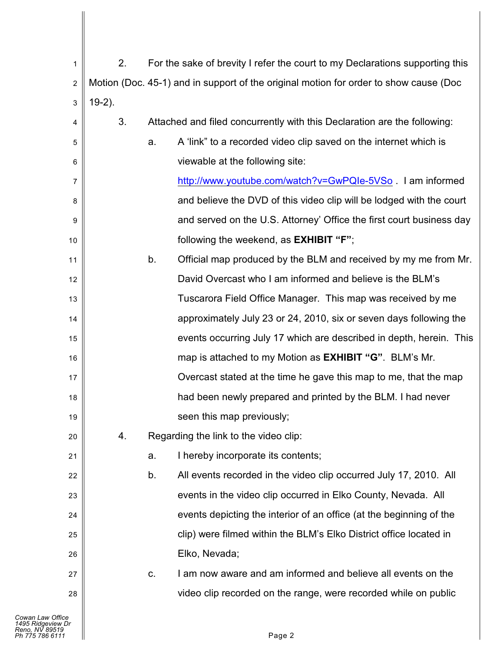| 1                                                      | 2.        |    | For the sake of brevity I refer the court to my Declarations supporting this          |
|--------------------------------------------------------|-----------|----|---------------------------------------------------------------------------------------|
| $\boldsymbol{2}$                                       |           |    | Motion (Doc. 45-1) and in support of the original motion for order to show cause (Doc |
| 3                                                      | $19-2$ ). |    |                                                                                       |
| 4                                                      | 3.        |    | Attached and filed concurrently with this Declaration are the following:              |
| 5                                                      |           | a. | A 'link" to a recorded video clip saved on the internet which is                      |
| 6                                                      |           |    | viewable at the following site:                                                       |
| 7                                                      |           |    | http://www.youtube.com/watch?v=GwPQIe-5VSo. I am informed                             |
| 8                                                      |           |    | and believe the DVD of this video clip will be lodged with the court                  |
| 9                                                      |           |    | and served on the U.S. Attorney' Office the first court business day                  |
| $10$                                                   |           |    | following the weekend, as <b>EXHIBIT</b> "F";                                         |
| 11                                                     |           | b. | Official map produced by the BLM and received by my me from Mr.                       |
| 12                                                     |           |    | David Overcast who I am informed and believe is the BLM's                             |
| 13                                                     |           |    | Tuscarora Field Office Manager. This map was received by me                           |
| 14                                                     |           |    | approximately July 23 or 24, 2010, six or seven days following the                    |
| 15                                                     |           |    | events occurring July 17 which are described in depth, herein. This                   |
| 16                                                     |           |    | map is attached to my Motion as <b>EXHIBIT</b> "G". BLM's Mr.                         |
| 17                                                     |           |    | Overcast stated at the time he gave this map to me, that the map                      |
| 18                                                     |           |    | had been newly prepared and printed by the BLM. I had never                           |
| 19                                                     |           |    | seen this map previously;                                                             |
| 20                                                     | 4.        |    | Regarding the link to the video clip:                                                 |
| 21                                                     |           | a. | I hereby incorporate its contents;                                                    |
| 22                                                     |           | b. | All events recorded in the video clip occurred July 17, 2010. All                     |
| 23                                                     |           |    | events in the video clip occurred in Elko County, Nevada. All                         |
| 24                                                     |           |    | events depicting the interior of an office (at the beginning of the                   |
| 25                                                     |           |    | clip) were filmed within the BLM's Elko District office located in                    |
| 26                                                     |           |    | Elko, Nevada;                                                                         |
| 27                                                     |           | C. | I am now aware and am informed and believe all events on the                          |
| 28                                                     |           |    | video clip recorded on the range, were recorded while on public                       |
| Cowan Law Office                                       |           |    |                                                                                       |
| 1495 Ridgeview Dr<br>?eno, NV 89519<br>Ph 775 786 6111 |           |    | Page 2                                                                                |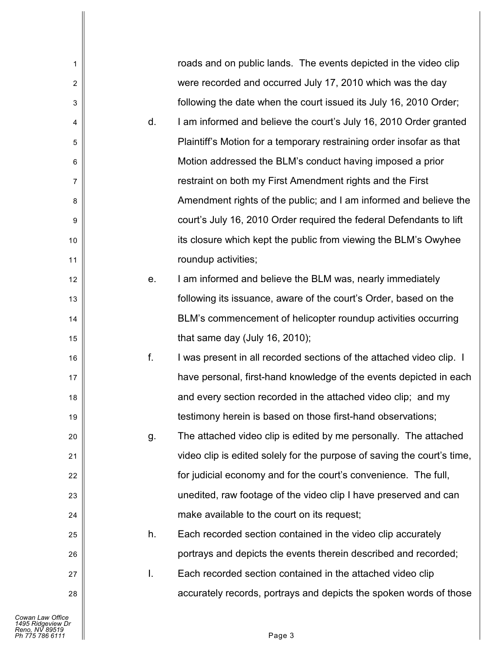| 1              |    | roads and on public lands. The events depicted in the video clip        |
|----------------|----|-------------------------------------------------------------------------|
| $\overline{c}$ |    | were recorded and occurred July 17, 2010 which was the day              |
| 3              |    | following the date when the court issued its July 16, 2010 Order;       |
| 4              | d. | I am informed and believe the court's July 16, 2010 Order granted       |
| 5              |    | Plaintiff's Motion for a temporary restraining order insofar as that    |
| 6              |    | Motion addressed the BLM's conduct having imposed a prior               |
| 7              |    | restraint on both my First Amendment rights and the First               |
| 8              |    | Amendment rights of the public; and I am informed and believe the       |
| 9              |    | court's July 16, 2010 Order required the federal Defendants to lift     |
| 10             |    | its closure which kept the public from viewing the BLM's Owyhee         |
| 11             |    | roundup activities;                                                     |
| 12             | е. | I am informed and believe the BLM was, nearly immediately               |
| 13             |    | following its issuance, aware of the court's Order, based on the        |
| 14             |    | BLM's commencement of helicopter roundup activities occurring           |
| 15             |    | that same day (July 16, 2010);                                          |
| 16             | f. | I was present in all recorded sections of the attached video clip. I    |
| 17             |    | have personal, first-hand knowledge of the events depicted in each      |
| 18             |    | and every section recorded in the attached video clip; and my           |
| 19             |    | testimony herein is based on those first-hand observations;             |
| 20             | g. | The attached video clip is edited by me personally. The attached        |
| 21             |    | video clip is edited solely for the purpose of saving the court's time, |
| 22             |    | for judicial economy and for the court's convenience. The full,         |
| 23             |    | unedited, raw footage of the video clip I have preserved and can        |
| 24             |    | make available to the court on its request;                             |
| 25             | h. | Each recorded section contained in the video clip accurately            |
| 26             |    | portrays and depicts the events therein described and recorded;         |
| 27             | Ι. | Each recorded section contained in the attached video clip              |
| 28             |    | accurately records, portrays and depicts the spoken words of those      |
|                |    |                                                                         |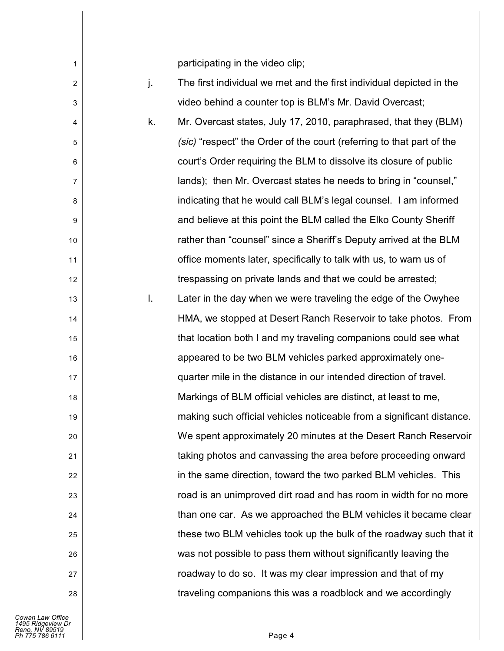participating in the video clip;

j. The first individual we met and the first individual depicted in the video behind a counter top is BLM's Mr. David Overcast;

k. Mr. Overcast states, July 17, 2010, paraphrased, that they (BLM) *(sic)* "respect" the Order of the court (referring to that part of the court's Order requiring the BLM to dissolve its closure of public lands); then Mr. Overcast states he needs to bring in "counsel," indicating that he would call BLM's legal counsel. I am informed and believe at this point the BLM called the Elko County Sheriff rather than "counsel" since a Sheriff's Deputy arrived at the BLM office moments later, specifically to talk with us, to warn us of trespassing on private lands and that we could be arrested;

l. Later in the day when we were traveling the edge of the Owyhee HMA, we stopped at Desert Ranch Reservoir to take photos. From that location both I and my traveling companions could see what appeared to be two BLM vehicles parked approximately onequarter mile in the distance in our intended direction of travel. Markings of BLM official vehicles are distinct, at least to me, making such official vehicles noticeable from a significant distance. We spent approximately 20 minutes at the Desert Ranch Reservoir taking photos and canvassing the area before proceeding onward in the same direction, toward the two parked BLM vehicles. This road is an unimproved dirt road and has room in width for no more than one car. As we approached the BLM vehicles it became clear these two BLM vehicles took up the bulk of the roadway such that it was not possible to pass them without significantly leaving the roadway to do so. It was my clear impression and that of my traveling companions this was a roadblock and we accordingly

1

2

3

4

5

6

7

8

9

10

11

12

13

14

15

16

17

18

19

20

21

22

23

24

25

26

27

28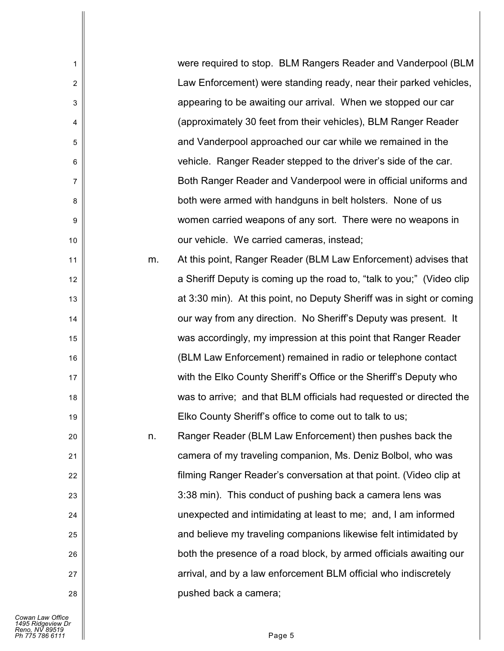| 1                       |    | were required to stop. BLM Rangers Reader and Vanderpool (BLM         |
|-------------------------|----|-----------------------------------------------------------------------|
| $\sqrt{2}$              |    | Law Enforcement) were standing ready, near their parked vehicles,     |
| 3                       |    | appearing to be awaiting our arrival. When we stopped our car         |
| $\overline{\mathbf{4}}$ |    | (approximately 30 feet from their vehicles), BLM Ranger Reader        |
| 5                       |    | and Vanderpool approached our car while we remained in the            |
| 6                       |    | vehicle. Ranger Reader stepped to the driver's side of the car.       |
| $\overline{7}$          |    | Both Ranger Reader and Vanderpool were in official uniforms and       |
| 8                       |    | both were armed with handguns in belt holsters. None of us            |
| 9                       |    | women carried weapons of any sort. There were no weapons in           |
| 10                      |    | our vehicle. We carried cameras, instead;                             |
| 11                      | m. | At this point, Ranger Reader (BLM Law Enforcement) advises that       |
| 12                      |    | a Sheriff Deputy is coming up the road to, "talk to you;" (Video clip |
| 13                      |    | at 3:30 min). At this point, no Deputy Sheriff was in sight or coming |
| 14                      |    | our way from any direction. No Sheriff's Deputy was present. It       |
| 15                      |    | was accordingly, my impression at this point that Ranger Reader       |
| 16                      |    | (BLM Law Enforcement) remained in radio or telephone contact          |
| 17                      |    | with the Elko County Sheriff's Office or the Sheriff's Deputy who     |
| 18                      |    | was to arrive; and that BLM officials had requested or directed the   |
| 19                      |    | Elko County Sheriff's office to come out to talk to us;               |
| 20                      | n. | Ranger Reader (BLM Law Enforcement) then pushes back the              |
| 21                      |    | camera of my traveling companion, Ms. Deniz Bolbol, who was           |
| 22                      |    | filming Ranger Reader's conversation at that point. (Video clip at    |
| 23                      |    | 3:38 min). This conduct of pushing back a camera lens was             |
| 24                      |    | unexpected and intimidating at least to me; and, I am informed        |
| 25                      |    | and believe my traveling companions likewise felt intimidated by      |
| 26                      |    | both the presence of a road block, by armed officials awaiting our    |
| 27                      |    | arrival, and by a law enforcement BLM official who indiscretely       |
| 28                      |    | pushed back a camera;                                                 |
|                         |    |                                                                       |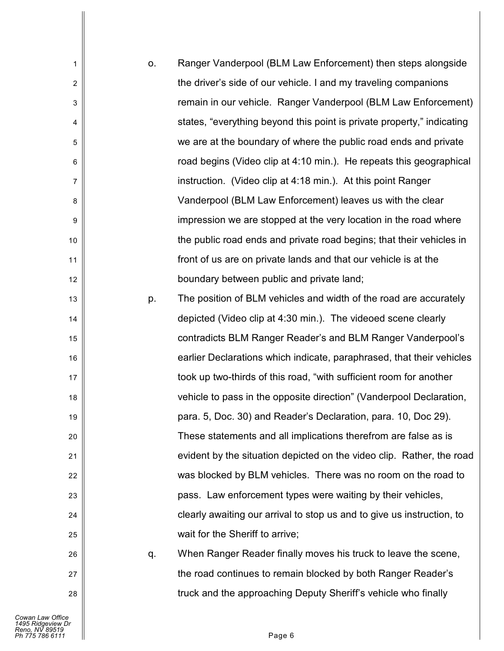| 1              | О. | Ranger Vanderpool (BLM Law Enforcement) then steps alongside           |
|----------------|----|------------------------------------------------------------------------|
| $\overline{2}$ |    | the driver's side of our vehicle. I and my traveling companions        |
| $\sqrt{3}$     |    | remain in our vehicle. Ranger Vanderpool (BLM Law Enforcement)         |
| 4              |    | states, "everything beyond this point is private property," indicating |
| 5              |    | we are at the boundary of where the public road ends and private       |
| 6              |    | road begins (Video clip at 4:10 min.). He repeats this geographical    |
| 7              |    | instruction. (Video clip at 4:18 min.). At this point Ranger           |
| 8              |    | Vanderpool (BLM Law Enforcement) leaves us with the clear              |
| 9              |    | impression we are stopped at the very location in the road where       |
| 10             |    | the public road ends and private road begins; that their vehicles in   |
| 11             |    | front of us are on private lands and that our vehicle is at the        |
| 12             |    | boundary between public and private land;                              |
| 13             | p. | The position of BLM vehicles and width of the road are accurately      |
| 14             |    | depicted (Video clip at 4:30 min.). The videoed scene clearly          |
| 15             |    | contradicts BLM Ranger Reader's and BLM Ranger Vanderpool's            |
| 16             |    | earlier Declarations which indicate, paraphrased, that their vehicles  |
| 17             |    | took up two-thirds of this road, "with sufficient room for another     |
| 18             |    | vehicle to pass in the opposite direction" (Vanderpool Declaration,    |
| 19             |    | para. 5, Doc. 30) and Reader's Declaration, para. 10, Doc 29).         |
| 20             |    | These statements and all implications therefrom are false as is        |
| 21             |    | evident by the situation depicted on the video clip. Rather, the road  |
| 22             |    | was blocked by BLM vehicles. There was no room on the road to          |
| 23             |    | pass. Law enforcement types were waiting by their vehicles,            |
| 24             |    | clearly awaiting our arrival to stop us and to give us instruction, to |
| 25             |    | wait for the Sheriff to arrive;                                        |
| 26             | q. | When Ranger Reader finally moves his truck to leave the scene,         |
| 27             |    | the road continues to remain blocked by both Ranger Reader's           |
| 28             |    | truck and the approaching Deputy Sheriff's vehicle who finally         |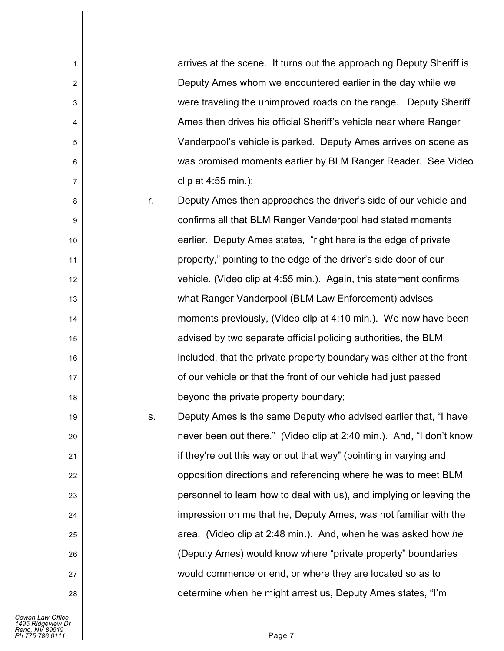| arrives at the scene. It turns out the approaching Deputy Sheriff is |
|----------------------------------------------------------------------|
|                                                                      |
| were traveling the unimproved roads on the range. Deputy Sheriff     |
|                                                                      |
| Vanderpool's vehicle is parked. Deputy Ames arrives on scene as      |
| was promised moments earlier by BLM Ranger Reader. See Video         |
|                                                                      |
| Deputy Ames then approaches the driver's side of our vehicle and     |
|                                                                      |
|                                                                      |
|                                                                      |
|                                                                      |
|                                                                      |
| moments previously, (Video clip at 4:10 min.). We now have been      |
|                                                                      |
| included, that the private property boundary was either at the front |
|                                                                      |
|                                                                      |
| Deputy Ames is the same Deputy who advised earlier that, "I have     |
| never been out there." (Video clip at 2:40 min.). And, "I don't know |
|                                                                      |
|                                                                      |

opposition directions and referencing where he was to meet BLM personnel to learn how to deal with us), and implying or leaving the impression on me that he, Deputy Ames, was not familiar with the area. (Video clip at 2:48 min.). And, when he was asked how *he* (Deputy Ames) would know where "private property" boundaries would commence or end, or where they are located so as to determine when he might arrest us, Deputy Ames states, "I'm

1

2

3

4

5

6

7

8

9

10

11

12

13

14

15

16

17

18

19

20

21

22

23

24

25

26

27

28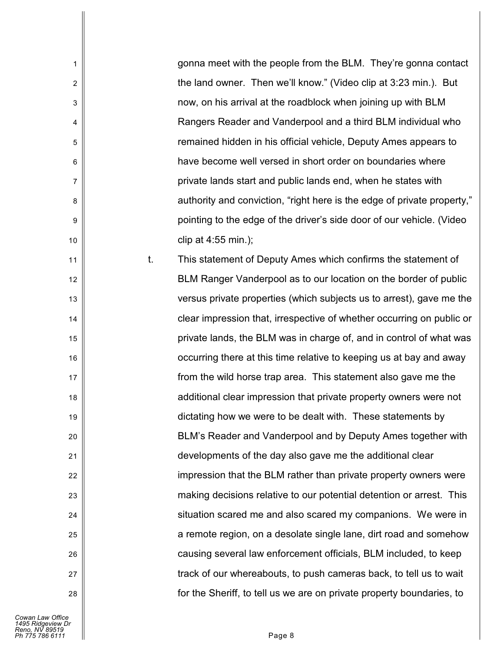gonna meet with the people from the BLM. They're gonna contact the land owner. Then we'll know." (Video clip at 3:23 min.). But now, on his arrival at the roadblock when joining up with BLM Rangers Reader and Vanderpool and a third BLM individual who remained hidden in his official vehicle, Deputy Ames appears to have become well versed in short order on boundaries where private lands start and public lands end, when he states with authority and conviction, "right here is the edge of private property," pointing to the edge of the driver's side door of our vehicle. (Video clip at 4:55 min.);

t. This statement of Deputy Ames which confirms the statement of BLM Ranger Vanderpool as to our location on the border of public versus private properties (which subjects us to arrest), gave me the clear impression that, irrespective of whether occurring on public or private lands, the BLM was in charge of, and in control of what was occurring there at this time relative to keeping us at bay and away from the wild horse trap area. This statement also gave me the additional clear impression that private property owners were not dictating how we were to be dealt with. These statements by BLM's Reader and Vanderpool and by Deputy Ames together with developments of the day also gave me the additional clear impression that the BLM rather than private property owners were making decisions relative to our potential detention or arrest. This situation scared me and also scared my companions. We were in a remote region, on a desolate single lane, dirt road and somehow causing several law enforcement officials, BLM included, to keep track of our whereabouts, to push cameras back, to tell us to wait for the Sheriff, to tell us we are on private property boundaries, to

1

2

3

4

5

6

7

8

9

10

11

12

13

14

15

16

17

18

19

20

21

22

23

24

25

26

27

28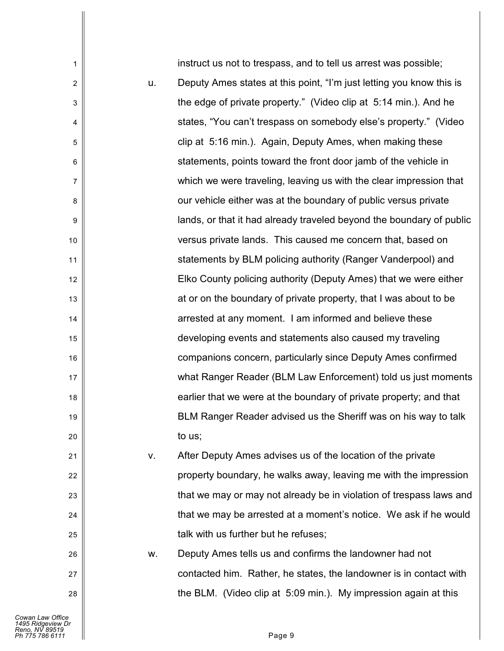instruct us not to trespass, and to tell us arrest was possible; u. Deputy Ames states at this point, "I'm just letting you know this is the edge of private property." (Video clip at 5:14 min.). And he states, "You can't trespass on somebody else's property." (Video clip at 5:16 min.). Again, Deputy Ames, when making these statements, points toward the front door jamb of the vehicle in which we were traveling, leaving us with the clear impression that our vehicle either was at the boundary of public versus private lands, or that it had already traveled beyond the boundary of public versus private lands. This caused me concern that, based on statements by BLM policing authority (Ranger Vanderpool) and Elko County policing authority (Deputy Ames) that we were either at or on the boundary of private property, that I was about to be arrested at any moment. I am informed and believe these developing events and statements also caused my traveling companions concern, particularly since Deputy Ames confirmed what Ranger Reader (BLM Law Enforcement) told us just moments earlier that we were at the boundary of private property; and that BLM Ranger Reader advised us the Sheriff was on his way to talk to us; v. After Deputy Ames advises us of the location of the private property boundary, he walks away, leaving me with the impression that we may or may not already be in violation of trespass laws and

*Cowan Law Office 1495 Ridgeview Dr Reno, NV 89519 Ph 775 786 6111* Page 9

1

2

3

4

5

6

7

8

9

10

11

12

13

14

15

16

17

18

19

20

21

22

23

24

25

26

27

28

w. Deputy Ames tells us and confirms the landowner had not

talk with us further but he refuses;

that we may be arrested at a moment's notice. We ask if he would

contacted him. Rather, he states, the landowner is in contact with

the BLM. (Video clip at 5:09 min.). My impression again at this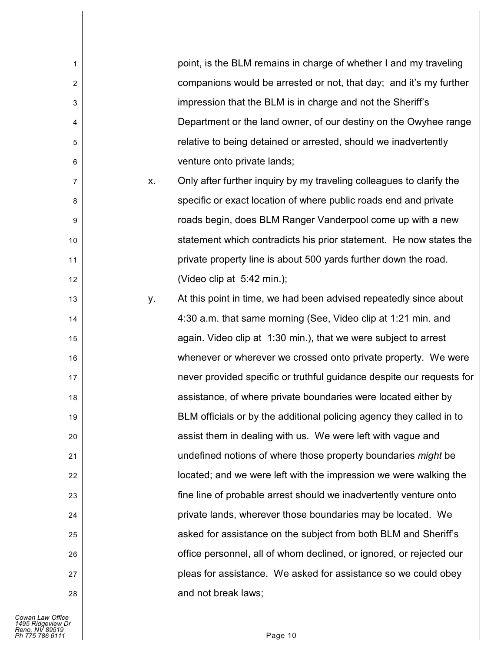| 1              |    | point, is the BLM remains in charge of whether I and my traveling     |
|----------------|----|-----------------------------------------------------------------------|
| $\overline{2}$ |    | companions would be arrested or not, that day; and it's my further    |
| 3              |    | impression that the BLM is in charge and not the Sheriff's            |
| $\overline{4}$ |    | Department or the land owner, of our destiny on the Owyhee range      |
| 5              |    | relative to being detained or arrested, should we inadvertently       |
| 6              |    | venture onto private lands;                                           |
| $\overline{7}$ | Χ. | Only after further inquiry by my traveling colleagues to clarify the  |
| 8              |    | specific or exact location of where public roads end and private      |
| 9              |    | roads begin, does BLM Ranger Vanderpool come up with a new            |
| 10             |    | statement which contradicts his prior statement. He now states the    |
| 11             |    | private property line is about 500 yards further down the road.       |
| 12             |    | (Video clip at 5:42 min.);                                            |
| 13             | у. | At this point in time, we had been advised repeatedly since about     |
| 14             |    | 4:30 a.m. that same morning (See, Video clip at 1:21 min. and         |
| 15             |    | again. Video clip at 1:30 min.), that we were subject to arrest       |
| 16             |    | whenever or wherever we crossed onto private property. We were        |
| 17             |    | never provided specific or truthful guidance despite our requests for |
| 18             |    | assistance, of where private boundaries were located either by        |
| 19             |    | BLM officials or by the additional policing agency they called in to  |
| 20             |    | assist them in dealing with us. We were left with vague and           |
| 21             |    | undefined notions of where those property boundaries might be         |
| 22             |    | located; and we were left with the impression we were walking the     |
| 23             |    | fine line of probable arrest should we inadvertently venture onto     |
| 24             |    | private lands, wherever those boundaries may be located. We           |
| 25             |    | asked for assistance on the subject from both BLM and Sheriff's       |
| 26             |    | office personnel, all of whom declined, or ignored, or rejected our   |
| 27             |    | pleas for assistance. We asked for assistance so we could obey        |
| 28             |    | and not break laws;                                                   |
|                |    |                                                                       |

Cowan Law Office<br>1495 Ridgeview Dr<br>*Reno, NV 89519*<br>Ph 775 786 6111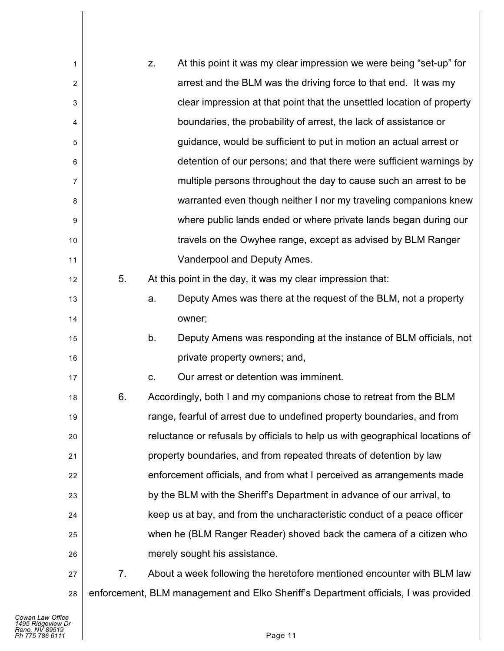| 1              |    | Z. | At this point it was my clear impression we were being "set-up" for                 |
|----------------|----|----|-------------------------------------------------------------------------------------|
| $\overline{2}$ |    |    | arrest and the BLM was the driving force to that end. It was my                     |
| 3              |    |    | clear impression at that point that the unsettled location of property              |
| 4              |    |    | boundaries, the probability of arrest, the lack of assistance or                    |
| 5              |    |    | guidance, would be sufficient to put in motion an actual arrest or                  |
| 6              |    |    | detention of our persons; and that there were sufficient warnings by                |
| 7              |    |    | multiple persons throughout the day to cause such an arrest to be                   |
| 8              |    |    | warranted even though neither I nor my traveling companions knew                    |
| 9              |    |    | where public lands ended or where private lands began during our                    |
| 10             |    |    | travels on the Owyhee range, except as advised by BLM Ranger                        |
| 11             |    |    | Vanderpool and Deputy Ames.                                                         |
| 12             | 5. |    | At this point in the day, it was my clear impression that:                          |
| 13             |    | a. | Deputy Ames was there at the request of the BLM, not a property                     |
| 14             |    |    | owner;                                                                              |
| 15             |    | b. | Deputy Amens was responding at the instance of BLM officials, not                   |
| 16             |    |    | private property owners; and,                                                       |
| 17             |    | C. | Our arrest or detention was imminent.                                               |
| 18             | 6. |    | Accordingly, both I and my companions chose to retreat from the BLM                 |
| 19             |    |    | range, fearful of arrest due to undefined property boundaries, and from             |
| 20             |    |    | reluctance or refusals by officials to help us with geographical locations of       |
| 21             |    |    | property boundaries, and from repeated threats of detention by law                  |
| 22             |    |    | enforcement officials, and from what I perceived as arrangements made               |
| 23             |    |    | by the BLM with the Sheriff's Department in advance of our arrival, to              |
| 24             |    |    | keep us at bay, and from the uncharacteristic conduct of a peace officer            |
| 25             |    |    | when he (BLM Ranger Reader) shoved back the camera of a citizen who                 |
| 26             |    |    | merely sought his assistance.                                                       |
| 27             | 7. |    | About a week following the heretofore mentioned encounter with BLM law              |
| 28             |    |    | enforcement, BLM management and Elko Sheriff's Department officials, I was provided |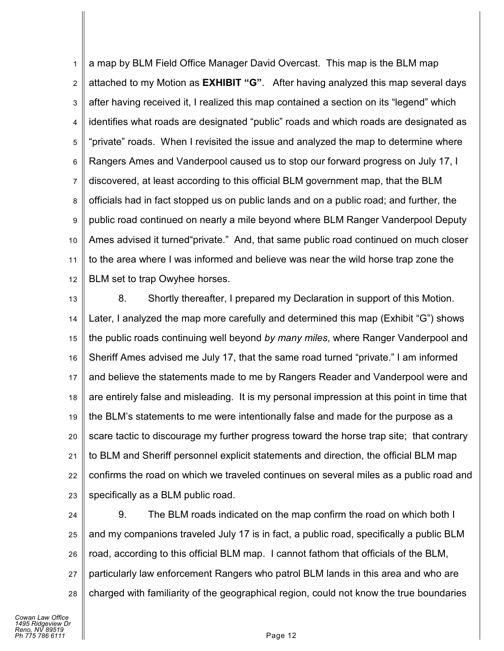1 2 3 4 5 6 7 8 9 10 11 12 a map by BLM Field Office Manager David Overcast. This map is the BLM map attached to my Motion as **EXHIBIT "G"**. After having analyzed this map several days after having received it, I realized this map contained a section on its "legend" which identifies what roads are designated "public" roads and which roads are designated as "private" roads. When I revisited the issue and analyzed the map to determine where Rangers Ames and Vanderpool caused us to stop our forward progress on July 17, I discovered, at least according to this official BLM government map, that the BLM officials had in fact stopped us on public lands and on a public road; and further, the public road continued on nearly a mile beyond where BLM Ranger Vanderpool Deputy Ames advised it turned"private." And, that same public road continued on much closer to the area where I was informed and believe was near the wild horse trap zone the BLM set to trap Owyhee horses.

13 14 15 16 17 18 19 20 21 22 23 8. Shortly thereafter, I prepared my Declaration in support of this Motion. Later, I analyzed the map more carefully and determined this map (Exhibit "G") shows the public roads continuing well beyond *by many miles*, where Ranger Vanderpool and Sheriff Ames advised me July 17, that the same road turned "private." I am informed and believe the statements made to me by Rangers Reader and Vanderpool were and are entirely false and misleading. It is my personal impression at this point in time that the BLM's statements to me were intentionally false and made for the purpose as a scare tactic to discourage my further progress toward the horse trap site; that contrary to BLM and Sheriff personnel explicit statements and direction, the official BLM map confirms the road on which we traveled continues on several miles as a public road and specifically as a BLM public road.

24 25 26 27 28 9. The BLM roads indicated on the map confirm the road on which both I and my companions traveled July 17 is in fact, a public road, specifically a public BLM road, according to this official BLM map. I cannot fathom that officials of the BLM, particularly law enforcement Rangers who patrol BLM lands in this area and who are charged with familiarity of the geographical region, could not know the true boundaries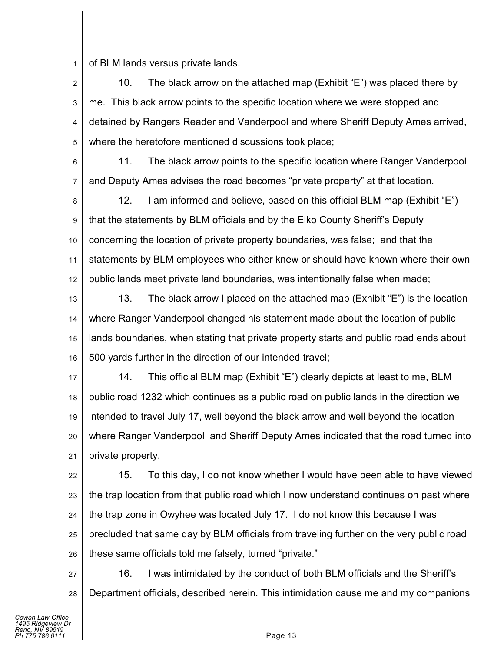1 of BLM lands versus private lands.

2 3 4 5 10. The black arrow on the attached map (Exhibit "E") was placed there by me. This black arrow points to the specific location where we were stopped and detained by Rangers Reader and Vanderpool and where Sheriff Deputy Ames arrived, where the heretofore mentioned discussions took place;

6 7 11. The black arrow points to the specific location where Ranger Vanderpool and Deputy Ames advises the road becomes "private property" at that location.

8 9 10 11 12 12. I am informed and believe, based on this official BLM map (Exhibit "E") that the statements by BLM officials and by the Elko County Sheriff's Deputy concerning the location of private property boundaries, was false; and that the statements by BLM employees who either knew or should have known where their own public lands meet private land boundaries, was intentionally false when made;

13 14 15 16 13. The black arrow I placed on the attached map (Exhibit "E") is the location where Ranger Vanderpool changed his statement made about the location of public lands boundaries, when stating that private property starts and public road ends about 500 yards further in the direction of our intended travel;

17 18 19 20 21 14. This official BLM map (Exhibit "E") clearly depicts at least to me, BLM public road 1232 which continues as a public road on public lands in the direction we intended to travel July 17, well beyond the black arrow and well beyond the location where Ranger Vanderpool and Sheriff Deputy Ames indicated that the road turned into private property.

22 23 24 25 26 15. To this day, I do not know whether I would have been able to have viewed the trap location from that public road which I now understand continues on past where the trap zone in Owyhee was located July 17. I do not know this because I was precluded that same day by BLM officials from traveling further on the very public road these same officials told me falsely, turned "private."

27 28 16. I was intimidated by the conduct of both BLM officials and the Sheriff's Department officials, described herein. This intimidation cause me and my companions